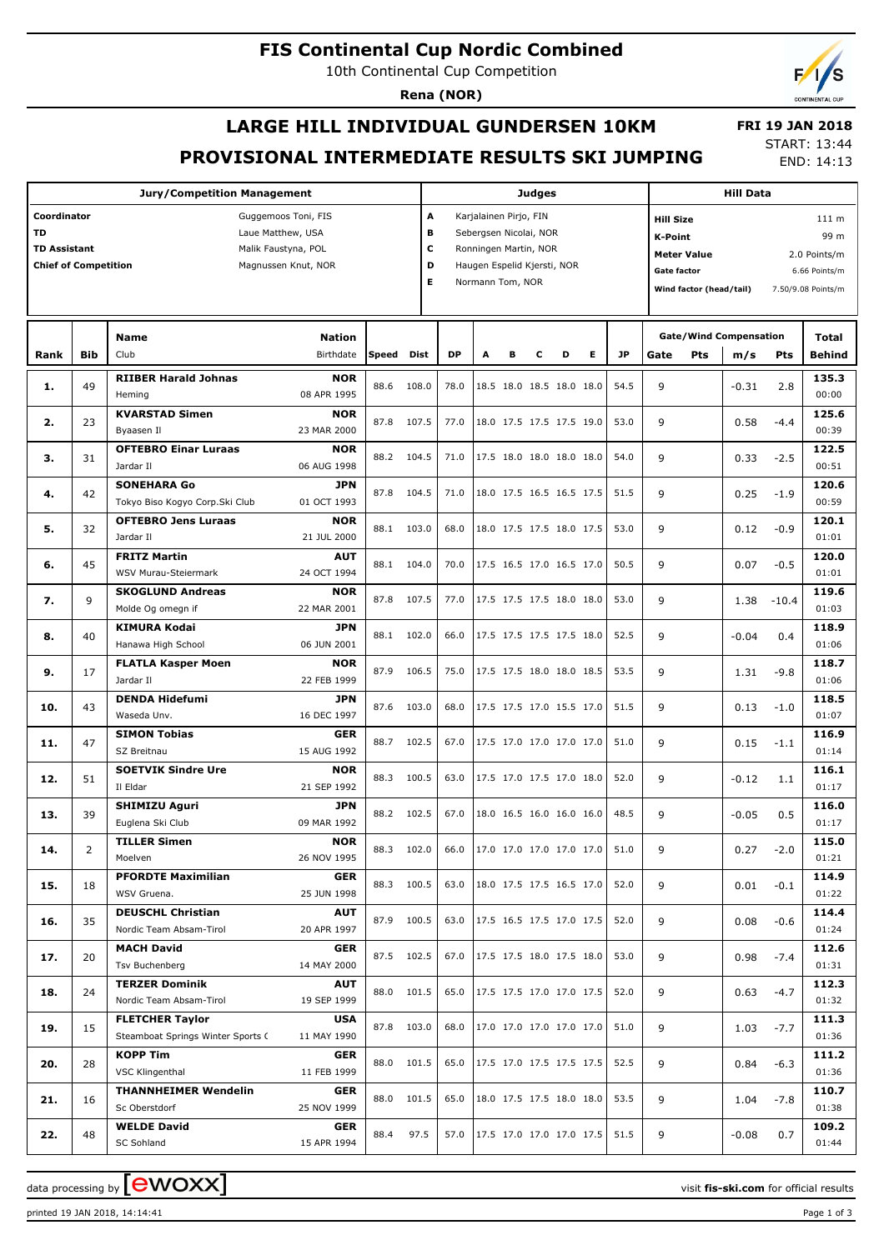#### **FIS Continental Cup Nordic Combined**

10th Continental Cup Competition

**Jury/Competition Management**

**Coordinator** Guggemoos Toni, FIS **TD** Laue Matthew, USA TD Assistant **Malik Faustyna, POL** 

**Rena (NOR)**

# **LARGE HILL INDIVIDUAL GUNDERSEN 10KM PROVISIONAL INTERMEDIATE RESULTS SKI JUMPING**

 **FRI 19 JAN 2018** START: 13:44

END: 14:13 **Judges A** Karjalainen Pirjo, FIN **B** Sebergsen Nicolai, NOR **C** Ronningen Martin, NOR **D** Haugen Espelid Kjersti, NOR **Hill Data K-Point** 99 m **Hill Size** 111 m **Meter Value** 2.0 Points/m **Gate factor** 6.66 Points/m **Wind factor (head/tail)** 7.50/9.08 Points/m **Total m/s Pts Gate/Wind Compensation Gate Pts Behind 135.3**

| <b>Chief of Competition</b> |            | Magnussen Knut, NOR                                         |                            | D<br>Haugen Espelid Kjersti, NOR<br>E.<br>Normann Tom, NOR |            |           |                                                                |                          |   |   | Gate factor<br>Wind factor (head/tail) |      |      | 6.66 Points/m<br>7.50/9.08 Points/m |         |         |                |
|-----------------------------|------------|-------------------------------------------------------------|----------------------------|------------------------------------------------------------|------------|-----------|----------------------------------------------------------------|--------------------------|---|---|----------------------------------------|------|------|-------------------------------------|---------|---------|----------------|
|                             |            | <b>Name</b>                                                 |                            |                                                            |            |           |                                                                |                          |   |   |                                        |      |      | <b>Gate/Wind Compensation</b>       |         | Total   |                |
| Rank                        | <b>Bib</b> | Club                                                        | <b>Nation</b><br>Birthdate | <b>Speed</b>                                               | Dist       | <b>DP</b> | A                                                              | в                        | c | D | Е                                      | JP   | Gate | Pts                                 | m/s     | Pts     | <b>Behind</b>  |
| 1.                          | 49         | <b>RIIBER Harald Johnas</b><br>Heming                       | <b>NOR</b><br>08 APR 1995  |                                                            | 88.6 108.0 | 78.0      |                                                                | 18.5 18.0 18.5 18.0 18.0 |   |   |                                        | 54.5 | 9    |                                     | $-0.31$ | 2.8     | 135.3<br>00:00 |
| 2.                          | 23         | <b>KVARSTAD Simen</b><br>Byaasen Il                         | <b>NOR</b><br>23 MAR 2000  |                                                            | 87.8 107.5 | 77.0      |                                                                | 18.0 17.5 17.5 17.5 19.0 |   |   |                                        | 53.0 | 9    |                                     | 0.58    | $-4.4$  | 125.6<br>00:39 |
| з.                          | 31         | <b>OFTEBRO Einar Luraas</b><br>Jardar II                    | <b>NOR</b><br>06 AUG 1998  |                                                            | 88.2 104.5 | 71.0      |                                                                | 17.5 18.0 18.0 18.0 18.0 |   |   |                                        | 54.0 | 9    |                                     | 0.33    | $-2.5$  | 122.5<br>00:51 |
| 4.                          | 42         | <b>SONEHARA Go</b><br>Tokyo Biso Kogyo Corp.Ski Club        | <b>JPN</b><br>01 OCT 1993  |                                                            | 87.8 104.5 | 71.0      |                                                                | 18.0 17.5 16.5 16.5 17.5 |   |   |                                        | 51.5 | 9    |                                     | 0.25    | $-1.9$  | 120.6<br>00:59 |
| 5.                          | 32         | <b>OFTEBRO Jens Luraas</b><br>Jardar II                     | <b>NOR</b><br>21 JUL 2000  |                                                            | 88.1 103.0 | 68.0      |                                                                | 18.0 17.5 17.5 18.0 17.5 |   |   |                                        | 53.0 | 9    |                                     | 0.12    | $-0.9$  | 120.1<br>01:01 |
| 6.                          | 45         | <b>FRITZ Martin</b><br>WSV Murau-Steiermark                 | <b>AUT</b><br>24 OCT 1994  | 88.1                                                       | 104.0      | 70.0      |                                                                | 17.5 16.5 17.0 16.5 17.0 |   |   |                                        | 50.5 | 9    |                                     | 0.07    | $-0.5$  | 120.0<br>01:01 |
| 7.                          | 9          | <b>SKOGLUND Andreas</b><br>Molde Og omegn if                | <b>NOR</b><br>22 MAR 2001  |                                                            | 87.8 107.5 | 77.0      |                                                                | 17.5 17.5 17.5 18.0 18.0 |   |   |                                        | 53.0 | 9    |                                     | 1.38    | $-10.4$ | 119.6<br>01:03 |
| 8.                          | 40         | <b>KIMURA Kodai</b><br>Hanawa High School                   | <b>JPN</b><br>06 JUN 2001  | 88.1                                                       | 102.0      | 66.0      |                                                                | 17.5 17.5 17.5 17.5 18.0 |   |   |                                        | 52.5 | 9    |                                     | $-0.04$ | 0.4     | 118.9<br>01:06 |
| 9.                          | 17         | <b>FLATLA Kasper Moen</b><br>Jardar II                      | <b>NOR</b><br>22 FEB 1999  | 87.9                                                       | 106.5      | 75.0      |                                                                | 17.5 17.5 18.0 18.0 18.5 |   |   |                                        | 53.5 | 9    |                                     | 1.31    | $-9.8$  | 118.7<br>01:06 |
| 10.                         | 43         | <b>DENDA Hidefumi</b><br>Waseda Unv.                        | JPN<br>16 DEC 1997         | 87.6                                                       | 103.0      | 68.0      |                                                                | 17.5 17.5 17.0 15.5 17.0 |   |   |                                        | 51.5 | 9    |                                     | 0.13    | $-1.0$  | 118.5<br>01:07 |
| 11.                         | 47         | <b>SIMON Tobias</b><br>SZ Breitnau                          | <b>GER</b><br>15 AUG 1992  |                                                            | 88.7 102.5 | 67.0      |                                                                | 17.5 17.0 17.0 17.0 17.0 |   |   |                                        | 51.0 | 9    |                                     | 0.15    | $-1.1$  | 116.9<br>01:14 |
| 12.                         | 51         | <b>SOETVIK Sindre Ure</b><br>Il Eldar                       | <b>NOR</b><br>21 SEP 1992  | 88.3                                                       | 100.5      | 63.0      |                                                                | 17.5 17.0 17.5 17.0 18.0 |   |   |                                        | 52.0 | 9    |                                     | $-0.12$ | 1.1     | 116.1<br>01:17 |
| 13.                         | 39         | <b>SHIMIZU Aguri</b><br>Euglena Ski Club                    | <b>JPN</b><br>09 MAR 1992  |                                                            | 88.2 102.5 | 67.0      |                                                                | 18.0 16.5 16.0 16.0 16.0 |   |   |                                        | 48.5 | 9    |                                     | $-0.05$ | 0.5     | 116.0<br>01:17 |
| 14.                         | 2          | <b>TILLER Simen</b><br>Moelven                              | <b>NOR</b><br>26 NOV 1995  | 88.3                                                       | 102.0      | 66.0      |                                                                | 17.0 17.0 17.0 17.0 17.0 |   |   |                                        | 51.0 | 9    |                                     | 0.27    | $-2.0$  | 115.0<br>01:21 |
| 15.                         | 18         | <b>PFORDTE Maximilian</b><br>WSV Gruena.                    | <b>GER</b><br>25 JUN 1998  | 88.3                                                       | 100.5      | 63.0      |                                                                | 18.0 17.5 17.5 16.5 17.0 |   |   |                                        | 52.0 | 9    |                                     | 0.01    | $-0.1$  | 114.9<br>01:22 |
| 16.                         | 35         | <b>DEUSCHL Christian</b><br>Nordic Team Absam-Tirol         | <b>AUT</b><br>20 APR 1997  | 87.9                                                       | 100.5      | 63.0      | $\vert 17.5 \vert 16.5 \vert 17.5 \vert 17.0 \vert 17.5 \vert$ |                          |   |   |                                        | 52.0 | 9    |                                     | 0.08    | $-0.6$  | 114.4<br>01:24 |
| 17.                         | 20         | <b>MACH David</b><br>Tsv Buchenberg                         | <b>GER</b><br>14 MAY 2000  | 87.5 102.5                                                 |            | 67.0      |                                                                | 17.5 17.5 18.0 17.5 18.0 |   |   |                                        | 53.0 | 9    |                                     | 0.98    | $-7.4$  | 112.6<br>01:31 |
| 18.                         | 24         | <b>TERZER Dominik</b><br>Nordic Team Absam-Tirol            | <b>AUT</b><br>19 SEP 1999  | 88.0 101.5                                                 |            | 65.0      |                                                                | 17.5 17.5 17.0 17.0 17.5 |   |   |                                        | 52.0 | 9    |                                     | 0.63    | $-4.7$  | 112.3<br>01:32 |
| 19.                         | 15         | <b>FLETCHER Taylor</b><br>Steamboat Springs Winter Sports C | <b>USA</b><br>11 MAY 1990  | 87.8 103.0                                                 |            | 68.0      |                                                                | 17.0 17.0 17.0 17.0 17.0 |   |   |                                        | 51.0 | 9    |                                     | 1.03    | $-7.7$  | 111.3<br>01:36 |
| 20.                         | 28         | <b>KOPP Tim</b><br>VSC Klingenthal                          | <b>GER</b><br>11 FEB 1999  |                                                            | 88.0 101.5 | 65.0      |                                                                | 17.5 17.0 17.5 17.5 17.5 |   |   |                                        | 52.5 | 9    |                                     | 0.84    | $-6.3$  | 111.2<br>01:36 |
| 21.                         | 16         | <b>THANNHEIMER Wendelin</b><br>Sc Oberstdorf                | <b>GER</b><br>25 NOV 1999  |                                                            | 88.0 101.5 | 65.0      |                                                                | 18.0 17.5 17.5 18.0 18.0 |   |   |                                        | 53.5 | 9    |                                     | 1.04    | $-7.8$  | 110.7<br>01:38 |
| 22.                         | 48         | <b>WELDE David</b><br>SC Sohland                            | <b>GER</b><br>15 APR 1994  | 88.4                                                       | 97.5       | 57.0      |                                                                | 17.5 17.0 17.0 17.0 17.5 |   |   |                                        | 51.5 | 9    |                                     | $-0.08$ | 0.7     | 109.2<br>01:44 |

printed 19 JAN 2018, 14:14:41 Page 1 of 3

data processing by  $\boxed{\text{ewOX}}$ 

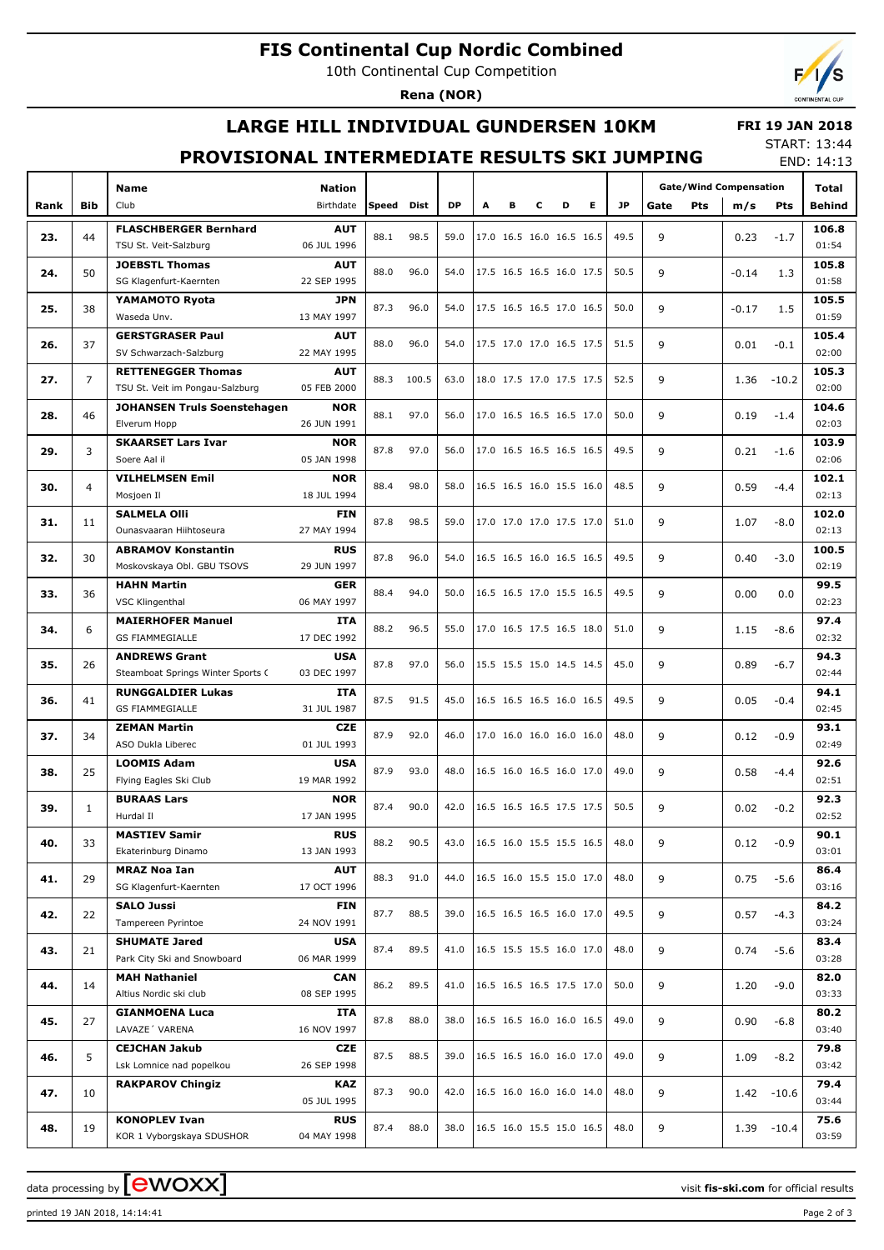## **FIS Continental Cup Nordic Combined**

10th Continental Cup Competition

**Rena (NOR)**



### **LARGE HILL INDIVIDUAL GUNDERSEN 10KM**

#### **FRI 19 JAN 2018**

#### **PROVISIONAL INTERMEDIATE RESULTS SKI JUMPING**

START: 13:44 END: 14:13

| <b>Gate/Wind Compensation</b><br><b>JP</b><br><b>Bib</b><br>Club<br>Birthdate<br>Speed<br>Dist<br><b>DP</b><br>в<br>c<br>D<br>Е<br>Rank<br>A<br>Gate<br><b>Pts</b><br>Pts<br><b>Behind</b><br>m/s<br><b>AUT</b><br>106.8<br><b>FLASCHBERGER Bernhard</b><br>88.1<br>98.5<br>49.5<br>23.<br>44<br>59.0<br>17.0 16.5 16.0 16.5 16.5<br>9<br>$-1.7$<br>0.23<br>01:54<br>06 JUL 1996<br>TSU St. Veit-Salzburg<br><b>AUT</b><br>105.8<br><b>JOEBSTL Thomas</b><br>88.0<br>17.5 16.5 16.5 16.0 17.5<br>50<br>96.0<br>50.5<br>9<br>24.<br>54.0<br>$-0.14$<br>1.3<br>01:58<br>SG Klagenfurt-Kaernten<br>22 SEP 1995<br>105.5<br>YAMAMOTO Ryota<br><b>JPN</b><br>87.3<br>17.5 16.5 16.5 17.0 16.5<br>25.<br>38<br>96.0<br>50.0<br>9<br>54.0<br>$-0.17$<br>1.5<br>01:59<br>Waseda Unv.<br>13 MAY 1997<br>105.4<br><b>GERSTGRASER Paul</b><br><b>AUT</b><br>88.0<br>37<br>96.0<br>17.5 17.0 17.0 16.5 17.5<br>51.5<br>9<br>26.<br>54.0<br>0.01<br>$-0.1$<br>02:00<br>SV Schwarzach-Salzburg<br>22 MAY 1995<br>105.3<br><b>RETTENEGGER Thomas</b><br><b>AUT</b><br>$\overline{7}$<br>18.0 17.5 17.0 17.5 17.5<br>27.<br>88.3<br>100.5<br>52.5<br>9<br>63.0<br>1.36<br>$-10.2$<br>05 FEB 2000<br>02:00<br>TSU St. Veit im Pongau-Salzburg<br>104.6<br><b>JOHANSEN Truls Soenstehagen</b><br><b>NOR</b><br>97.0<br>17.0 16.5 16.5 16.5 17.0<br>28.<br>46<br>88.1<br>50.0<br>9<br>56.0<br>0.19<br>$-1.4$<br>26 JUN 1991<br>02:03<br>Elverum Hopp<br>103.9<br><b>SKAARSET Lars Ivar</b><br><b>NOR</b><br>87.8<br>97.0<br>17.0 16.5 16.5 16.5 16.5<br>29.<br>3<br>49.5<br>9<br>56.0<br>0.21<br>$-1.6$<br>02:06<br>Soere Aal il<br>05 JAN 1998<br>102.1<br><b>VILHELMSEN Emil</b><br><b>NOR</b><br>16.5 16.5 16.0 15.5 16.0<br>88.4<br>98.0<br>48.5<br>9<br>0.59<br>30.<br>4<br>58.0<br>$-4.4$<br>02:13<br>Mosjoen Il<br>18 JUL 1994<br><b>SALMELA Olli</b><br>102.0<br><b>FIN</b><br>87.8<br>98.5<br>17.0 17.0 17.0 17.5 17.0<br>59.0<br>9<br>31.<br>11<br>51.0<br>1.07<br>$-8.0$<br>02:13<br>Ounasvaaran Hiihtoseura<br>27 MAY 1994<br><b>ABRAMOV Konstantin</b><br>100.5<br><b>RUS</b><br>87.8<br>16.5 16.5 16.0 16.5 16.5<br>32.<br>30<br>96.0<br>49.5<br>9<br>54.0<br>0.40<br>$-3.0$<br>Moskovskaya Obl. GBU TSOVS<br>02:19<br>29 JUN 1997<br>99.5<br><b>HAHN Martin</b><br><b>GER</b><br>16.5 16.5 17.0 15.5 16.5<br>33.<br>36<br>88.4<br>94.0<br>49.5<br>9<br>50.0<br>0.00<br>0.0<br>02:23<br><b>VSC Klingenthal</b><br>06 MAY 1997<br>97.4<br><b>MAIERHOFER Manuel</b><br><b>ITA</b><br>88.2<br>17.0 16.5 17.5 16.5 18.0<br>34.<br>6<br>96.5<br>55.0<br>9<br>51.0<br>1.15<br>$-8.6$<br><b>GS FIAMMEGIALLE</b><br>02:32<br>17 DEC 1992<br>94.3<br><b>ANDREWS Grant</b><br>USA<br>87.8<br>97.0<br>15.5 15.5 15.0 14.5 14.5<br>35.<br>26<br>45.0<br>9<br>$-6.7$<br>56.0<br>0.89<br>02:44<br>03 DEC 1997<br>Steamboat Springs Winter Sports C<br>94.1<br><b>RUNGGALDIER Lukas</b><br>ITA<br>87.5<br>16.5 16.5 16.5 16.0 16.5<br>91.5<br>49.5<br>9<br>36.<br>41<br>45.0<br>0.05<br>$-0.4$<br>02:45<br><b>GS FIAMMEGIALLE</b><br>31 JUL 1987<br><b>CZE</b><br>93.1<br><b>ZEMAN Martin</b><br>87.9<br>92.0<br>37.<br>17.0 16.0 16.0 16.0 16.0<br>48.0<br>9<br>34<br>46.0<br>0.12<br>$-0.9$<br>02:49<br>ASO Dukla Liberec<br>01 JUL 1993<br><b>LOOMIS Adam</b><br><b>USA</b><br>92.6<br>87.9<br>16.5 16.0 16.5 16.0 17.0<br>25<br>93.0<br>9<br>38.<br>48.0<br>49.0<br>0.58<br>$-4.4$<br>02:51<br>Flying Eagles Ski Club<br>19 MAR 1992<br>92.3<br><b>BURAAS Lars</b><br><b>NOR</b><br>90.0<br>16.5 16.5 16.5 17.5 17.5<br>87.4<br>50.5<br>9<br>39.<br>$\mathbf{1}$<br>42.0<br>0.02<br>$-0.2$<br>17 JAN 1995<br>02:52<br>Hurdal II<br><b>RUS</b><br>90.1<br><b>MASTIEV Samir</b><br>88.2<br>90.5<br>40.<br>33<br>16.5 16.0 15.5 15.5 16.5<br>48.0<br>9<br>$-0.9$<br>43.0<br>0.12<br>03:01<br>Ekaterinburg Dinamo<br>13 JAN 1993<br>86.4<br><b>MRAZ Noa Ian</b><br><b>AUT</b><br>29<br>9<br>41.<br>88.3<br>91.0<br>16.5 16.0 15.5 15.0 17.0<br>48.0<br>0.75<br>$-5.6$<br>44.0<br>03:16<br>SG Klagenfurt-Kaernten<br>17 OCT 1996<br>84.2<br><b>SALO Jussi</b><br><b>FIN</b><br>87.7<br>9<br>42.<br>22<br>88.5<br>39.0<br>16.5 16.5 16.5 16.0 17.0<br>49.5<br>$-4.3$<br>0.57<br>Tampereen Pyrintoe<br>03:24<br>24 NOV 1991<br><b>SHUMATE Jared</b><br>83.4<br><b>USA</b><br>87.4<br>89.5<br>16.5 15.5 15.5 16.0 17.0<br>48.0<br>9<br>43.<br>41.0<br>21<br>0.74<br>$-5.6$<br>03:28<br>Park City Ski and Snowboard<br>06 MAR 1999<br><b>MAH Nathaniel</b><br>82.0<br><b>CAN</b><br>86.2<br>89.5<br>16.5 16.5 16.5 17.5 17.0<br>50.0<br>44.<br>14<br>41.0<br>9<br>1.20<br>$-9.0$<br>03:33<br>Altius Nordic ski club<br>08 SEP 1995<br>80.2<br><b>GIANMOENA Luca</b><br>ITA<br>87.8<br>88.0<br>38.0<br>16.5 16.5 16.0 16.0 16.5<br>49.0<br>45.<br>27<br>9<br>0.90<br>$-6.8$<br>LAVAZE' VARENA<br>03:40<br>16 NOV 1997<br><b>CEJCHAN Jakub</b><br>79.8<br>CZE<br>87.5<br>88.5<br>5<br>39.0<br>16.5 16.5 16.0 16.0 17.0<br>49.0<br>9<br>46.<br>1.09<br>$-8.2$<br>03:42<br>Lsk Lomnice nad popelkou<br>26 SEP 1998<br>79.4<br><b>RAKPAROV Chingiz</b><br>KAZ<br>87.3<br>90.0<br>16.5 16.0 16.0 16.0 14.0<br>48.0<br>10<br>42.0<br>9<br>47.<br>1.42<br>$-10.6$<br>03:44<br>05 JUL 1995<br>75.6<br><b>KONOPLEV Ivan</b><br>RUS<br>87.4<br>88.0<br>38.0<br>16.5 16.0 15.5 15.0 16.5<br>48.0<br>9<br>19<br>48.<br>1.39<br>$-10.4$<br>04 MAY 1998<br>03:59<br>KOR 1 Vyborgskaya SDUSHOR |  |             |               |  |  |  |  |  |  |  | LND. 14.13 |  |       |
|-------------------------------------------------------------------------------------------------------------------------------------------------------------------------------------------------------------------------------------------------------------------------------------------------------------------------------------------------------------------------------------------------------------------------------------------------------------------------------------------------------------------------------------------------------------------------------------------------------------------------------------------------------------------------------------------------------------------------------------------------------------------------------------------------------------------------------------------------------------------------------------------------------------------------------------------------------------------------------------------------------------------------------------------------------------------------------------------------------------------------------------------------------------------------------------------------------------------------------------------------------------------------------------------------------------------------------------------------------------------------------------------------------------------------------------------------------------------------------------------------------------------------------------------------------------------------------------------------------------------------------------------------------------------------------------------------------------------------------------------------------------------------------------------------------------------------------------------------------------------------------------------------------------------------------------------------------------------------------------------------------------------------------------------------------------------------------------------------------------------------------------------------------------------------------------------------------------------------------------------------------------------------------------------------------------------------------------------------------------------------------------------------------------------------------------------------------------------------------------------------------------------------------------------------------------------------------------------------------------------------------------------------------------------------------------------------------------------------------------------------------------------------------------------------------------------------------------------------------------------------------------------------------------------------------------------------------------------------------------------------------------------------------------------------------------------------------------------------------------------------------------------------------------------------------------------------------------------------------------------------------------------------------------------------------------------------------------------------------------------------------------------------------------------------------------------------------------------------------------------------------------------------------------------------------------------------------------------------------------------------------------------------------------------------------------------------------------------------------------------------------------------------------------------------------------------------------------------------------------------------------------------------------------------------------------------------------------------------------------------------------------------------------------------------------------------------------------------------------------------------------------------------------------------------------------------------------------------------------------------------------------------------------------------------------------------------------------------------------------------------------------------------------------------------------------------------------------------------------------------------------------------------------------------------------------------------------------------------------------------------------------------------------------------------------------------------------------------------------------------------------------------------------------------------------------------------------------------------------------------------------------------------------------------------------------------------------------------------------------------------------------------------------------------------------------------------------------------------------------------------------------------------------------------------------------------------------------------------------------------------------------------------------------------------------------------------------------------------------|--|-------------|---------------|--|--|--|--|--|--|--|------------|--|-------|
|                                                                                                                                                                                                                                                                                                                                                                                                                                                                                                                                                                                                                                                                                                                                                                                                                                                                                                                                                                                                                                                                                                                                                                                                                                                                                                                                                                                                                                                                                                                                                                                                                                                                                                                                                                                                                                                                                                                                                                                                                                                                                                                                                                                                                                                                                                                                                                                                                                                                                                                                                                                                                                                                                                                                                                                                                                                                                                                                                                                                                                                                                                                                                                                                                                                                                                                                                                                                                                                                                                                                                                                                                                                                                                                                                                                                                                                                                                                                                                                                                                                                                                                                                                                                                                                                                                                                                                                                                                                                                                                                                                                                                                                                                                                                                                                                                                                                                                                                                                                                                                                                                                                                                                                                                                                                                                                                                       |  | <b>Name</b> | <b>Nation</b> |  |  |  |  |  |  |  |            |  | Total |
|                                                                                                                                                                                                                                                                                                                                                                                                                                                                                                                                                                                                                                                                                                                                                                                                                                                                                                                                                                                                                                                                                                                                                                                                                                                                                                                                                                                                                                                                                                                                                                                                                                                                                                                                                                                                                                                                                                                                                                                                                                                                                                                                                                                                                                                                                                                                                                                                                                                                                                                                                                                                                                                                                                                                                                                                                                                                                                                                                                                                                                                                                                                                                                                                                                                                                                                                                                                                                                                                                                                                                                                                                                                                                                                                                                                                                                                                                                                                                                                                                                                                                                                                                                                                                                                                                                                                                                                                                                                                                                                                                                                                                                                                                                                                                                                                                                                                                                                                                                                                                                                                                                                                                                                                                                                                                                                                                       |  |             |               |  |  |  |  |  |  |  |            |  |       |
|                                                                                                                                                                                                                                                                                                                                                                                                                                                                                                                                                                                                                                                                                                                                                                                                                                                                                                                                                                                                                                                                                                                                                                                                                                                                                                                                                                                                                                                                                                                                                                                                                                                                                                                                                                                                                                                                                                                                                                                                                                                                                                                                                                                                                                                                                                                                                                                                                                                                                                                                                                                                                                                                                                                                                                                                                                                                                                                                                                                                                                                                                                                                                                                                                                                                                                                                                                                                                                                                                                                                                                                                                                                                                                                                                                                                                                                                                                                                                                                                                                                                                                                                                                                                                                                                                                                                                                                                                                                                                                                                                                                                                                                                                                                                                                                                                                                                                                                                                                                                                                                                                                                                                                                                                                                                                                                                                       |  |             |               |  |  |  |  |  |  |  |            |  |       |
|                                                                                                                                                                                                                                                                                                                                                                                                                                                                                                                                                                                                                                                                                                                                                                                                                                                                                                                                                                                                                                                                                                                                                                                                                                                                                                                                                                                                                                                                                                                                                                                                                                                                                                                                                                                                                                                                                                                                                                                                                                                                                                                                                                                                                                                                                                                                                                                                                                                                                                                                                                                                                                                                                                                                                                                                                                                                                                                                                                                                                                                                                                                                                                                                                                                                                                                                                                                                                                                                                                                                                                                                                                                                                                                                                                                                                                                                                                                                                                                                                                                                                                                                                                                                                                                                                                                                                                                                                                                                                                                                                                                                                                                                                                                                                                                                                                                                                                                                                                                                                                                                                                                                                                                                                                                                                                                                                       |  |             |               |  |  |  |  |  |  |  |            |  |       |
|                                                                                                                                                                                                                                                                                                                                                                                                                                                                                                                                                                                                                                                                                                                                                                                                                                                                                                                                                                                                                                                                                                                                                                                                                                                                                                                                                                                                                                                                                                                                                                                                                                                                                                                                                                                                                                                                                                                                                                                                                                                                                                                                                                                                                                                                                                                                                                                                                                                                                                                                                                                                                                                                                                                                                                                                                                                                                                                                                                                                                                                                                                                                                                                                                                                                                                                                                                                                                                                                                                                                                                                                                                                                                                                                                                                                                                                                                                                                                                                                                                                                                                                                                                                                                                                                                                                                                                                                                                                                                                                                                                                                                                                                                                                                                                                                                                                                                                                                                                                                                                                                                                                                                                                                                                                                                                                                                       |  |             |               |  |  |  |  |  |  |  |            |  |       |
|                                                                                                                                                                                                                                                                                                                                                                                                                                                                                                                                                                                                                                                                                                                                                                                                                                                                                                                                                                                                                                                                                                                                                                                                                                                                                                                                                                                                                                                                                                                                                                                                                                                                                                                                                                                                                                                                                                                                                                                                                                                                                                                                                                                                                                                                                                                                                                                                                                                                                                                                                                                                                                                                                                                                                                                                                                                                                                                                                                                                                                                                                                                                                                                                                                                                                                                                                                                                                                                                                                                                                                                                                                                                                                                                                                                                                                                                                                                                                                                                                                                                                                                                                                                                                                                                                                                                                                                                                                                                                                                                                                                                                                                                                                                                                                                                                                                                                                                                                                                                                                                                                                                                                                                                                                                                                                                                                       |  |             |               |  |  |  |  |  |  |  |            |  |       |
|                                                                                                                                                                                                                                                                                                                                                                                                                                                                                                                                                                                                                                                                                                                                                                                                                                                                                                                                                                                                                                                                                                                                                                                                                                                                                                                                                                                                                                                                                                                                                                                                                                                                                                                                                                                                                                                                                                                                                                                                                                                                                                                                                                                                                                                                                                                                                                                                                                                                                                                                                                                                                                                                                                                                                                                                                                                                                                                                                                                                                                                                                                                                                                                                                                                                                                                                                                                                                                                                                                                                                                                                                                                                                                                                                                                                                                                                                                                                                                                                                                                                                                                                                                                                                                                                                                                                                                                                                                                                                                                                                                                                                                                                                                                                                                                                                                                                                                                                                                                                                                                                                                                                                                                                                                                                                                                                                       |  |             |               |  |  |  |  |  |  |  |            |  |       |
|                                                                                                                                                                                                                                                                                                                                                                                                                                                                                                                                                                                                                                                                                                                                                                                                                                                                                                                                                                                                                                                                                                                                                                                                                                                                                                                                                                                                                                                                                                                                                                                                                                                                                                                                                                                                                                                                                                                                                                                                                                                                                                                                                                                                                                                                                                                                                                                                                                                                                                                                                                                                                                                                                                                                                                                                                                                                                                                                                                                                                                                                                                                                                                                                                                                                                                                                                                                                                                                                                                                                                                                                                                                                                                                                                                                                                                                                                                                                                                                                                                                                                                                                                                                                                                                                                                                                                                                                                                                                                                                                                                                                                                                                                                                                                                                                                                                                                                                                                                                                                                                                                                                                                                                                                                                                                                                                                       |  |             |               |  |  |  |  |  |  |  |            |  |       |
|                                                                                                                                                                                                                                                                                                                                                                                                                                                                                                                                                                                                                                                                                                                                                                                                                                                                                                                                                                                                                                                                                                                                                                                                                                                                                                                                                                                                                                                                                                                                                                                                                                                                                                                                                                                                                                                                                                                                                                                                                                                                                                                                                                                                                                                                                                                                                                                                                                                                                                                                                                                                                                                                                                                                                                                                                                                                                                                                                                                                                                                                                                                                                                                                                                                                                                                                                                                                                                                                                                                                                                                                                                                                                                                                                                                                                                                                                                                                                                                                                                                                                                                                                                                                                                                                                                                                                                                                                                                                                                                                                                                                                                                                                                                                                                                                                                                                                                                                                                                                                                                                                                                                                                                                                                                                                                                                                       |  |             |               |  |  |  |  |  |  |  |            |  |       |
|                                                                                                                                                                                                                                                                                                                                                                                                                                                                                                                                                                                                                                                                                                                                                                                                                                                                                                                                                                                                                                                                                                                                                                                                                                                                                                                                                                                                                                                                                                                                                                                                                                                                                                                                                                                                                                                                                                                                                                                                                                                                                                                                                                                                                                                                                                                                                                                                                                                                                                                                                                                                                                                                                                                                                                                                                                                                                                                                                                                                                                                                                                                                                                                                                                                                                                                                                                                                                                                                                                                                                                                                                                                                                                                                                                                                                                                                                                                                                                                                                                                                                                                                                                                                                                                                                                                                                                                                                                                                                                                                                                                                                                                                                                                                                                                                                                                                                                                                                                                                                                                                                                                                                                                                                                                                                                                                                       |  |             |               |  |  |  |  |  |  |  |            |  |       |
|                                                                                                                                                                                                                                                                                                                                                                                                                                                                                                                                                                                                                                                                                                                                                                                                                                                                                                                                                                                                                                                                                                                                                                                                                                                                                                                                                                                                                                                                                                                                                                                                                                                                                                                                                                                                                                                                                                                                                                                                                                                                                                                                                                                                                                                                                                                                                                                                                                                                                                                                                                                                                                                                                                                                                                                                                                                                                                                                                                                                                                                                                                                                                                                                                                                                                                                                                                                                                                                                                                                                                                                                                                                                                                                                                                                                                                                                                                                                                                                                                                                                                                                                                                                                                                                                                                                                                                                                                                                                                                                                                                                                                                                                                                                                                                                                                                                                                                                                                                                                                                                                                                                                                                                                                                                                                                                                                       |  |             |               |  |  |  |  |  |  |  |            |  |       |
|                                                                                                                                                                                                                                                                                                                                                                                                                                                                                                                                                                                                                                                                                                                                                                                                                                                                                                                                                                                                                                                                                                                                                                                                                                                                                                                                                                                                                                                                                                                                                                                                                                                                                                                                                                                                                                                                                                                                                                                                                                                                                                                                                                                                                                                                                                                                                                                                                                                                                                                                                                                                                                                                                                                                                                                                                                                                                                                                                                                                                                                                                                                                                                                                                                                                                                                                                                                                                                                                                                                                                                                                                                                                                                                                                                                                                                                                                                                                                                                                                                                                                                                                                                                                                                                                                                                                                                                                                                                                                                                                                                                                                                                                                                                                                                                                                                                                                                                                                                                                                                                                                                                                                                                                                                                                                                                                                       |  |             |               |  |  |  |  |  |  |  |            |  |       |
|                                                                                                                                                                                                                                                                                                                                                                                                                                                                                                                                                                                                                                                                                                                                                                                                                                                                                                                                                                                                                                                                                                                                                                                                                                                                                                                                                                                                                                                                                                                                                                                                                                                                                                                                                                                                                                                                                                                                                                                                                                                                                                                                                                                                                                                                                                                                                                                                                                                                                                                                                                                                                                                                                                                                                                                                                                                                                                                                                                                                                                                                                                                                                                                                                                                                                                                                                                                                                                                                                                                                                                                                                                                                                                                                                                                                                                                                                                                                                                                                                                                                                                                                                                                                                                                                                                                                                                                                                                                                                                                                                                                                                                                                                                                                                                                                                                                                                                                                                                                                                                                                                                                                                                                                                                                                                                                                                       |  |             |               |  |  |  |  |  |  |  |            |  |       |
|                                                                                                                                                                                                                                                                                                                                                                                                                                                                                                                                                                                                                                                                                                                                                                                                                                                                                                                                                                                                                                                                                                                                                                                                                                                                                                                                                                                                                                                                                                                                                                                                                                                                                                                                                                                                                                                                                                                                                                                                                                                                                                                                                                                                                                                                                                                                                                                                                                                                                                                                                                                                                                                                                                                                                                                                                                                                                                                                                                                                                                                                                                                                                                                                                                                                                                                                                                                                                                                                                                                                                                                                                                                                                                                                                                                                                                                                                                                                                                                                                                                                                                                                                                                                                                                                                                                                                                                                                                                                                                                                                                                                                                                                                                                                                                                                                                                                                                                                                                                                                                                                                                                                                                                                                                                                                                                                                       |  |             |               |  |  |  |  |  |  |  |            |  |       |
|                                                                                                                                                                                                                                                                                                                                                                                                                                                                                                                                                                                                                                                                                                                                                                                                                                                                                                                                                                                                                                                                                                                                                                                                                                                                                                                                                                                                                                                                                                                                                                                                                                                                                                                                                                                                                                                                                                                                                                                                                                                                                                                                                                                                                                                                                                                                                                                                                                                                                                                                                                                                                                                                                                                                                                                                                                                                                                                                                                                                                                                                                                                                                                                                                                                                                                                                                                                                                                                                                                                                                                                                                                                                                                                                                                                                                                                                                                                                                                                                                                                                                                                                                                                                                                                                                                                                                                                                                                                                                                                                                                                                                                                                                                                                                                                                                                                                                                                                                                                                                                                                                                                                                                                                                                                                                                                                                       |  |             |               |  |  |  |  |  |  |  |            |  |       |
|                                                                                                                                                                                                                                                                                                                                                                                                                                                                                                                                                                                                                                                                                                                                                                                                                                                                                                                                                                                                                                                                                                                                                                                                                                                                                                                                                                                                                                                                                                                                                                                                                                                                                                                                                                                                                                                                                                                                                                                                                                                                                                                                                                                                                                                                                                                                                                                                                                                                                                                                                                                                                                                                                                                                                                                                                                                                                                                                                                                                                                                                                                                                                                                                                                                                                                                                                                                                                                                                                                                                                                                                                                                                                                                                                                                                                                                                                                                                                                                                                                                                                                                                                                                                                                                                                                                                                                                                                                                                                                                                                                                                                                                                                                                                                                                                                                                                                                                                                                                                                                                                                                                                                                                                                                                                                                                                                       |  |             |               |  |  |  |  |  |  |  |            |  |       |
|                                                                                                                                                                                                                                                                                                                                                                                                                                                                                                                                                                                                                                                                                                                                                                                                                                                                                                                                                                                                                                                                                                                                                                                                                                                                                                                                                                                                                                                                                                                                                                                                                                                                                                                                                                                                                                                                                                                                                                                                                                                                                                                                                                                                                                                                                                                                                                                                                                                                                                                                                                                                                                                                                                                                                                                                                                                                                                                                                                                                                                                                                                                                                                                                                                                                                                                                                                                                                                                                                                                                                                                                                                                                                                                                                                                                                                                                                                                                                                                                                                                                                                                                                                                                                                                                                                                                                                                                                                                                                                                                                                                                                                                                                                                                                                                                                                                                                                                                                                                                                                                                                                                                                                                                                                                                                                                                                       |  |             |               |  |  |  |  |  |  |  |            |  |       |
|                                                                                                                                                                                                                                                                                                                                                                                                                                                                                                                                                                                                                                                                                                                                                                                                                                                                                                                                                                                                                                                                                                                                                                                                                                                                                                                                                                                                                                                                                                                                                                                                                                                                                                                                                                                                                                                                                                                                                                                                                                                                                                                                                                                                                                                                                                                                                                                                                                                                                                                                                                                                                                                                                                                                                                                                                                                                                                                                                                                                                                                                                                                                                                                                                                                                                                                                                                                                                                                                                                                                                                                                                                                                                                                                                                                                                                                                                                                                                                                                                                                                                                                                                                                                                                                                                                                                                                                                                                                                                                                                                                                                                                                                                                                                                                                                                                                                                                                                                                                                                                                                                                                                                                                                                                                                                                                                                       |  |             |               |  |  |  |  |  |  |  |            |  |       |
|                                                                                                                                                                                                                                                                                                                                                                                                                                                                                                                                                                                                                                                                                                                                                                                                                                                                                                                                                                                                                                                                                                                                                                                                                                                                                                                                                                                                                                                                                                                                                                                                                                                                                                                                                                                                                                                                                                                                                                                                                                                                                                                                                                                                                                                                                                                                                                                                                                                                                                                                                                                                                                                                                                                                                                                                                                                                                                                                                                                                                                                                                                                                                                                                                                                                                                                                                                                                                                                                                                                                                                                                                                                                                                                                                                                                                                                                                                                                                                                                                                                                                                                                                                                                                                                                                                                                                                                                                                                                                                                                                                                                                                                                                                                                                                                                                                                                                                                                                                                                                                                                                                                                                                                                                                                                                                                                                       |  |             |               |  |  |  |  |  |  |  |            |  |       |
|                                                                                                                                                                                                                                                                                                                                                                                                                                                                                                                                                                                                                                                                                                                                                                                                                                                                                                                                                                                                                                                                                                                                                                                                                                                                                                                                                                                                                                                                                                                                                                                                                                                                                                                                                                                                                                                                                                                                                                                                                                                                                                                                                                                                                                                                                                                                                                                                                                                                                                                                                                                                                                                                                                                                                                                                                                                                                                                                                                                                                                                                                                                                                                                                                                                                                                                                                                                                                                                                                                                                                                                                                                                                                                                                                                                                                                                                                                                                                                                                                                                                                                                                                                                                                                                                                                                                                                                                                                                                                                                                                                                                                                                                                                                                                                                                                                                                                                                                                                                                                                                                                                                                                                                                                                                                                                                                                       |  |             |               |  |  |  |  |  |  |  |            |  |       |
|                                                                                                                                                                                                                                                                                                                                                                                                                                                                                                                                                                                                                                                                                                                                                                                                                                                                                                                                                                                                                                                                                                                                                                                                                                                                                                                                                                                                                                                                                                                                                                                                                                                                                                                                                                                                                                                                                                                                                                                                                                                                                                                                                                                                                                                                                                                                                                                                                                                                                                                                                                                                                                                                                                                                                                                                                                                                                                                                                                                                                                                                                                                                                                                                                                                                                                                                                                                                                                                                                                                                                                                                                                                                                                                                                                                                                                                                                                                                                                                                                                                                                                                                                                                                                                                                                                                                                                                                                                                                                                                                                                                                                                                                                                                                                                                                                                                                                                                                                                                                                                                                                                                                                                                                                                                                                                                                                       |  |             |               |  |  |  |  |  |  |  |            |  |       |
|                                                                                                                                                                                                                                                                                                                                                                                                                                                                                                                                                                                                                                                                                                                                                                                                                                                                                                                                                                                                                                                                                                                                                                                                                                                                                                                                                                                                                                                                                                                                                                                                                                                                                                                                                                                                                                                                                                                                                                                                                                                                                                                                                                                                                                                                                                                                                                                                                                                                                                                                                                                                                                                                                                                                                                                                                                                                                                                                                                                                                                                                                                                                                                                                                                                                                                                                                                                                                                                                                                                                                                                                                                                                                                                                                                                                                                                                                                                                                                                                                                                                                                                                                                                                                                                                                                                                                                                                                                                                                                                                                                                                                                                                                                                                                                                                                                                                                                                                                                                                                                                                                                                                                                                                                                                                                                                                                       |  |             |               |  |  |  |  |  |  |  |            |  |       |
|                                                                                                                                                                                                                                                                                                                                                                                                                                                                                                                                                                                                                                                                                                                                                                                                                                                                                                                                                                                                                                                                                                                                                                                                                                                                                                                                                                                                                                                                                                                                                                                                                                                                                                                                                                                                                                                                                                                                                                                                                                                                                                                                                                                                                                                                                                                                                                                                                                                                                                                                                                                                                                                                                                                                                                                                                                                                                                                                                                                                                                                                                                                                                                                                                                                                                                                                                                                                                                                                                                                                                                                                                                                                                                                                                                                                                                                                                                                                                                                                                                                                                                                                                                                                                                                                                                                                                                                                                                                                                                                                                                                                                                                                                                                                                                                                                                                                                                                                                                                                                                                                                                                                                                                                                                                                                                                                                       |  |             |               |  |  |  |  |  |  |  |            |  |       |
|                                                                                                                                                                                                                                                                                                                                                                                                                                                                                                                                                                                                                                                                                                                                                                                                                                                                                                                                                                                                                                                                                                                                                                                                                                                                                                                                                                                                                                                                                                                                                                                                                                                                                                                                                                                                                                                                                                                                                                                                                                                                                                                                                                                                                                                                                                                                                                                                                                                                                                                                                                                                                                                                                                                                                                                                                                                                                                                                                                                                                                                                                                                                                                                                                                                                                                                                                                                                                                                                                                                                                                                                                                                                                                                                                                                                                                                                                                                                                                                                                                                                                                                                                                                                                                                                                                                                                                                                                                                                                                                                                                                                                                                                                                                                                                                                                                                                                                                                                                                                                                                                                                                                                                                                                                                                                                                                                       |  |             |               |  |  |  |  |  |  |  |            |  |       |
|                                                                                                                                                                                                                                                                                                                                                                                                                                                                                                                                                                                                                                                                                                                                                                                                                                                                                                                                                                                                                                                                                                                                                                                                                                                                                                                                                                                                                                                                                                                                                                                                                                                                                                                                                                                                                                                                                                                                                                                                                                                                                                                                                                                                                                                                                                                                                                                                                                                                                                                                                                                                                                                                                                                                                                                                                                                                                                                                                                                                                                                                                                                                                                                                                                                                                                                                                                                                                                                                                                                                                                                                                                                                                                                                                                                                                                                                                                                                                                                                                                                                                                                                                                                                                                                                                                                                                                                                                                                                                                                                                                                                                                                                                                                                                                                                                                                                                                                                                                                                                                                                                                                                                                                                                                                                                                                                                       |  |             |               |  |  |  |  |  |  |  |            |  |       |
|                                                                                                                                                                                                                                                                                                                                                                                                                                                                                                                                                                                                                                                                                                                                                                                                                                                                                                                                                                                                                                                                                                                                                                                                                                                                                                                                                                                                                                                                                                                                                                                                                                                                                                                                                                                                                                                                                                                                                                                                                                                                                                                                                                                                                                                                                                                                                                                                                                                                                                                                                                                                                                                                                                                                                                                                                                                                                                                                                                                                                                                                                                                                                                                                                                                                                                                                                                                                                                                                                                                                                                                                                                                                                                                                                                                                                                                                                                                                                                                                                                                                                                                                                                                                                                                                                                                                                                                                                                                                                                                                                                                                                                                                                                                                                                                                                                                                                                                                                                                                                                                                                                                                                                                                                                                                                                                                                       |  |             |               |  |  |  |  |  |  |  |            |  |       |
|                                                                                                                                                                                                                                                                                                                                                                                                                                                                                                                                                                                                                                                                                                                                                                                                                                                                                                                                                                                                                                                                                                                                                                                                                                                                                                                                                                                                                                                                                                                                                                                                                                                                                                                                                                                                                                                                                                                                                                                                                                                                                                                                                                                                                                                                                                                                                                                                                                                                                                                                                                                                                                                                                                                                                                                                                                                                                                                                                                                                                                                                                                                                                                                                                                                                                                                                                                                                                                                                                                                                                                                                                                                                                                                                                                                                                                                                                                                                                                                                                                                                                                                                                                                                                                                                                                                                                                                                                                                                                                                                                                                                                                                                                                                                                                                                                                                                                                                                                                                                                                                                                                                                                                                                                                                                                                                                                       |  |             |               |  |  |  |  |  |  |  |            |  |       |
|                                                                                                                                                                                                                                                                                                                                                                                                                                                                                                                                                                                                                                                                                                                                                                                                                                                                                                                                                                                                                                                                                                                                                                                                                                                                                                                                                                                                                                                                                                                                                                                                                                                                                                                                                                                                                                                                                                                                                                                                                                                                                                                                                                                                                                                                                                                                                                                                                                                                                                                                                                                                                                                                                                                                                                                                                                                                                                                                                                                                                                                                                                                                                                                                                                                                                                                                                                                                                                                                                                                                                                                                                                                                                                                                                                                                                                                                                                                                                                                                                                                                                                                                                                                                                                                                                                                                                                                                                                                                                                                                                                                                                                                                                                                                                                                                                                                                                                                                                                                                                                                                                                                                                                                                                                                                                                                                                       |  |             |               |  |  |  |  |  |  |  |            |  |       |
|                                                                                                                                                                                                                                                                                                                                                                                                                                                                                                                                                                                                                                                                                                                                                                                                                                                                                                                                                                                                                                                                                                                                                                                                                                                                                                                                                                                                                                                                                                                                                                                                                                                                                                                                                                                                                                                                                                                                                                                                                                                                                                                                                                                                                                                                                                                                                                                                                                                                                                                                                                                                                                                                                                                                                                                                                                                                                                                                                                                                                                                                                                                                                                                                                                                                                                                                                                                                                                                                                                                                                                                                                                                                                                                                                                                                                                                                                                                                                                                                                                                                                                                                                                                                                                                                                                                                                                                                                                                                                                                                                                                                                                                                                                                                                                                                                                                                                                                                                                                                                                                                                                                                                                                                                                                                                                                                                       |  |             |               |  |  |  |  |  |  |  |            |  |       |
|                                                                                                                                                                                                                                                                                                                                                                                                                                                                                                                                                                                                                                                                                                                                                                                                                                                                                                                                                                                                                                                                                                                                                                                                                                                                                                                                                                                                                                                                                                                                                                                                                                                                                                                                                                                                                                                                                                                                                                                                                                                                                                                                                                                                                                                                                                                                                                                                                                                                                                                                                                                                                                                                                                                                                                                                                                                                                                                                                                                                                                                                                                                                                                                                                                                                                                                                                                                                                                                                                                                                                                                                                                                                                                                                                                                                                                                                                                                                                                                                                                                                                                                                                                                                                                                                                                                                                                                                                                                                                                                                                                                                                                                                                                                                                                                                                                                                                                                                                                                                                                                                                                                                                                                                                                                                                                                                                       |  |             |               |  |  |  |  |  |  |  |            |  |       |
|                                                                                                                                                                                                                                                                                                                                                                                                                                                                                                                                                                                                                                                                                                                                                                                                                                                                                                                                                                                                                                                                                                                                                                                                                                                                                                                                                                                                                                                                                                                                                                                                                                                                                                                                                                                                                                                                                                                                                                                                                                                                                                                                                                                                                                                                                                                                                                                                                                                                                                                                                                                                                                                                                                                                                                                                                                                                                                                                                                                                                                                                                                                                                                                                                                                                                                                                                                                                                                                                                                                                                                                                                                                                                                                                                                                                                                                                                                                                                                                                                                                                                                                                                                                                                                                                                                                                                                                                                                                                                                                                                                                                                                                                                                                                                                                                                                                                                                                                                                                                                                                                                                                                                                                                                                                                                                                                                       |  |             |               |  |  |  |  |  |  |  |            |  |       |
|                                                                                                                                                                                                                                                                                                                                                                                                                                                                                                                                                                                                                                                                                                                                                                                                                                                                                                                                                                                                                                                                                                                                                                                                                                                                                                                                                                                                                                                                                                                                                                                                                                                                                                                                                                                                                                                                                                                                                                                                                                                                                                                                                                                                                                                                                                                                                                                                                                                                                                                                                                                                                                                                                                                                                                                                                                                                                                                                                                                                                                                                                                                                                                                                                                                                                                                                                                                                                                                                                                                                                                                                                                                                                                                                                                                                                                                                                                                                                                                                                                                                                                                                                                                                                                                                                                                                                                                                                                                                                                                                                                                                                                                                                                                                                                                                                                                                                                                                                                                                                                                                                                                                                                                                                                                                                                                                                       |  |             |               |  |  |  |  |  |  |  |            |  |       |
|                                                                                                                                                                                                                                                                                                                                                                                                                                                                                                                                                                                                                                                                                                                                                                                                                                                                                                                                                                                                                                                                                                                                                                                                                                                                                                                                                                                                                                                                                                                                                                                                                                                                                                                                                                                                                                                                                                                                                                                                                                                                                                                                                                                                                                                                                                                                                                                                                                                                                                                                                                                                                                                                                                                                                                                                                                                                                                                                                                                                                                                                                                                                                                                                                                                                                                                                                                                                                                                                                                                                                                                                                                                                                                                                                                                                                                                                                                                                                                                                                                                                                                                                                                                                                                                                                                                                                                                                                                                                                                                                                                                                                                                                                                                                                                                                                                                                                                                                                                                                                                                                                                                                                                                                                                                                                                                                                       |  |             |               |  |  |  |  |  |  |  |            |  |       |
|                                                                                                                                                                                                                                                                                                                                                                                                                                                                                                                                                                                                                                                                                                                                                                                                                                                                                                                                                                                                                                                                                                                                                                                                                                                                                                                                                                                                                                                                                                                                                                                                                                                                                                                                                                                                                                                                                                                                                                                                                                                                                                                                                                                                                                                                                                                                                                                                                                                                                                                                                                                                                                                                                                                                                                                                                                                                                                                                                                                                                                                                                                                                                                                                                                                                                                                                                                                                                                                                                                                                                                                                                                                                                                                                                                                                                                                                                                                                                                                                                                                                                                                                                                                                                                                                                                                                                                                                                                                                                                                                                                                                                                                                                                                                                                                                                                                                                                                                                                                                                                                                                                                                                                                                                                                                                                                                                       |  |             |               |  |  |  |  |  |  |  |            |  |       |
|                                                                                                                                                                                                                                                                                                                                                                                                                                                                                                                                                                                                                                                                                                                                                                                                                                                                                                                                                                                                                                                                                                                                                                                                                                                                                                                                                                                                                                                                                                                                                                                                                                                                                                                                                                                                                                                                                                                                                                                                                                                                                                                                                                                                                                                                                                                                                                                                                                                                                                                                                                                                                                                                                                                                                                                                                                                                                                                                                                                                                                                                                                                                                                                                                                                                                                                                                                                                                                                                                                                                                                                                                                                                                                                                                                                                                                                                                                                                                                                                                                                                                                                                                                                                                                                                                                                                                                                                                                                                                                                                                                                                                                                                                                                                                                                                                                                                                                                                                                                                                                                                                                                                                                                                                                                                                                                                                       |  |             |               |  |  |  |  |  |  |  |            |  |       |
|                                                                                                                                                                                                                                                                                                                                                                                                                                                                                                                                                                                                                                                                                                                                                                                                                                                                                                                                                                                                                                                                                                                                                                                                                                                                                                                                                                                                                                                                                                                                                                                                                                                                                                                                                                                                                                                                                                                                                                                                                                                                                                                                                                                                                                                                                                                                                                                                                                                                                                                                                                                                                                                                                                                                                                                                                                                                                                                                                                                                                                                                                                                                                                                                                                                                                                                                                                                                                                                                                                                                                                                                                                                                                                                                                                                                                                                                                                                                                                                                                                                                                                                                                                                                                                                                                                                                                                                                                                                                                                                                                                                                                                                                                                                                                                                                                                                                                                                                                                                                                                                                                                                                                                                                                                                                                                                                                       |  |             |               |  |  |  |  |  |  |  |            |  |       |
|                                                                                                                                                                                                                                                                                                                                                                                                                                                                                                                                                                                                                                                                                                                                                                                                                                                                                                                                                                                                                                                                                                                                                                                                                                                                                                                                                                                                                                                                                                                                                                                                                                                                                                                                                                                                                                                                                                                                                                                                                                                                                                                                                                                                                                                                                                                                                                                                                                                                                                                                                                                                                                                                                                                                                                                                                                                                                                                                                                                                                                                                                                                                                                                                                                                                                                                                                                                                                                                                                                                                                                                                                                                                                                                                                                                                                                                                                                                                                                                                                                                                                                                                                                                                                                                                                                                                                                                                                                                                                                                                                                                                                                                                                                                                                                                                                                                                                                                                                                                                                                                                                                                                                                                                                                                                                                                                                       |  |             |               |  |  |  |  |  |  |  |            |  |       |
|                                                                                                                                                                                                                                                                                                                                                                                                                                                                                                                                                                                                                                                                                                                                                                                                                                                                                                                                                                                                                                                                                                                                                                                                                                                                                                                                                                                                                                                                                                                                                                                                                                                                                                                                                                                                                                                                                                                                                                                                                                                                                                                                                                                                                                                                                                                                                                                                                                                                                                                                                                                                                                                                                                                                                                                                                                                                                                                                                                                                                                                                                                                                                                                                                                                                                                                                                                                                                                                                                                                                                                                                                                                                                                                                                                                                                                                                                                                                                                                                                                                                                                                                                                                                                                                                                                                                                                                                                                                                                                                                                                                                                                                                                                                                                                                                                                                                                                                                                                                                                                                                                                                                                                                                                                                                                                                                                       |  |             |               |  |  |  |  |  |  |  |            |  |       |
|                                                                                                                                                                                                                                                                                                                                                                                                                                                                                                                                                                                                                                                                                                                                                                                                                                                                                                                                                                                                                                                                                                                                                                                                                                                                                                                                                                                                                                                                                                                                                                                                                                                                                                                                                                                                                                                                                                                                                                                                                                                                                                                                                                                                                                                                                                                                                                                                                                                                                                                                                                                                                                                                                                                                                                                                                                                                                                                                                                                                                                                                                                                                                                                                                                                                                                                                                                                                                                                                                                                                                                                                                                                                                                                                                                                                                                                                                                                                                                                                                                                                                                                                                                                                                                                                                                                                                                                                                                                                                                                                                                                                                                                                                                                                                                                                                                                                                                                                                                                                                                                                                                                                                                                                                                                                                                                                                       |  |             |               |  |  |  |  |  |  |  |            |  |       |
|                                                                                                                                                                                                                                                                                                                                                                                                                                                                                                                                                                                                                                                                                                                                                                                                                                                                                                                                                                                                                                                                                                                                                                                                                                                                                                                                                                                                                                                                                                                                                                                                                                                                                                                                                                                                                                                                                                                                                                                                                                                                                                                                                                                                                                                                                                                                                                                                                                                                                                                                                                                                                                                                                                                                                                                                                                                                                                                                                                                                                                                                                                                                                                                                                                                                                                                                                                                                                                                                                                                                                                                                                                                                                                                                                                                                                                                                                                                                                                                                                                                                                                                                                                                                                                                                                                                                                                                                                                                                                                                                                                                                                                                                                                                                                                                                                                                                                                                                                                                                                                                                                                                                                                                                                                                                                                                                                       |  |             |               |  |  |  |  |  |  |  |            |  |       |
|                                                                                                                                                                                                                                                                                                                                                                                                                                                                                                                                                                                                                                                                                                                                                                                                                                                                                                                                                                                                                                                                                                                                                                                                                                                                                                                                                                                                                                                                                                                                                                                                                                                                                                                                                                                                                                                                                                                                                                                                                                                                                                                                                                                                                                                                                                                                                                                                                                                                                                                                                                                                                                                                                                                                                                                                                                                                                                                                                                                                                                                                                                                                                                                                                                                                                                                                                                                                                                                                                                                                                                                                                                                                                                                                                                                                                                                                                                                                                                                                                                                                                                                                                                                                                                                                                                                                                                                                                                                                                                                                                                                                                                                                                                                                                                                                                                                                                                                                                                                                                                                                                                                                                                                                                                                                                                                                                       |  |             |               |  |  |  |  |  |  |  |            |  |       |
|                                                                                                                                                                                                                                                                                                                                                                                                                                                                                                                                                                                                                                                                                                                                                                                                                                                                                                                                                                                                                                                                                                                                                                                                                                                                                                                                                                                                                                                                                                                                                                                                                                                                                                                                                                                                                                                                                                                                                                                                                                                                                                                                                                                                                                                                                                                                                                                                                                                                                                                                                                                                                                                                                                                                                                                                                                                                                                                                                                                                                                                                                                                                                                                                                                                                                                                                                                                                                                                                                                                                                                                                                                                                                                                                                                                                                                                                                                                                                                                                                                                                                                                                                                                                                                                                                                                                                                                                                                                                                                                                                                                                                                                                                                                                                                                                                                                                                                                                                                                                                                                                                                                                                                                                                                                                                                                                                       |  |             |               |  |  |  |  |  |  |  |            |  |       |
|                                                                                                                                                                                                                                                                                                                                                                                                                                                                                                                                                                                                                                                                                                                                                                                                                                                                                                                                                                                                                                                                                                                                                                                                                                                                                                                                                                                                                                                                                                                                                                                                                                                                                                                                                                                                                                                                                                                                                                                                                                                                                                                                                                                                                                                                                                                                                                                                                                                                                                                                                                                                                                                                                                                                                                                                                                                                                                                                                                                                                                                                                                                                                                                                                                                                                                                                                                                                                                                                                                                                                                                                                                                                                                                                                                                                                                                                                                                                                                                                                                                                                                                                                                                                                                                                                                                                                                                                                                                                                                                                                                                                                                                                                                                                                                                                                                                                                                                                                                                                                                                                                                                                                                                                                                                                                                                                                       |  |             |               |  |  |  |  |  |  |  |            |  |       |
|                                                                                                                                                                                                                                                                                                                                                                                                                                                                                                                                                                                                                                                                                                                                                                                                                                                                                                                                                                                                                                                                                                                                                                                                                                                                                                                                                                                                                                                                                                                                                                                                                                                                                                                                                                                                                                                                                                                                                                                                                                                                                                                                                                                                                                                                                                                                                                                                                                                                                                                                                                                                                                                                                                                                                                                                                                                                                                                                                                                                                                                                                                                                                                                                                                                                                                                                                                                                                                                                                                                                                                                                                                                                                                                                                                                                                                                                                                                                                                                                                                                                                                                                                                                                                                                                                                                                                                                                                                                                                                                                                                                                                                                                                                                                                                                                                                                                                                                                                                                                                                                                                                                                                                                                                                                                                                                                                       |  |             |               |  |  |  |  |  |  |  |            |  |       |
|                                                                                                                                                                                                                                                                                                                                                                                                                                                                                                                                                                                                                                                                                                                                                                                                                                                                                                                                                                                                                                                                                                                                                                                                                                                                                                                                                                                                                                                                                                                                                                                                                                                                                                                                                                                                                                                                                                                                                                                                                                                                                                                                                                                                                                                                                                                                                                                                                                                                                                                                                                                                                                                                                                                                                                                                                                                                                                                                                                                                                                                                                                                                                                                                                                                                                                                                                                                                                                                                                                                                                                                                                                                                                                                                                                                                                                                                                                                                                                                                                                                                                                                                                                                                                                                                                                                                                                                                                                                                                                                                                                                                                                                                                                                                                                                                                                                                                                                                                                                                                                                                                                                                                                                                                                                                                                                                                       |  |             |               |  |  |  |  |  |  |  |            |  |       |
|                                                                                                                                                                                                                                                                                                                                                                                                                                                                                                                                                                                                                                                                                                                                                                                                                                                                                                                                                                                                                                                                                                                                                                                                                                                                                                                                                                                                                                                                                                                                                                                                                                                                                                                                                                                                                                                                                                                                                                                                                                                                                                                                                                                                                                                                                                                                                                                                                                                                                                                                                                                                                                                                                                                                                                                                                                                                                                                                                                                                                                                                                                                                                                                                                                                                                                                                                                                                                                                                                                                                                                                                                                                                                                                                                                                                                                                                                                                                                                                                                                                                                                                                                                                                                                                                                                                                                                                                                                                                                                                                                                                                                                                                                                                                                                                                                                                                                                                                                                                                                                                                                                                                                                                                                                                                                                                                                       |  |             |               |  |  |  |  |  |  |  |            |  |       |
|                                                                                                                                                                                                                                                                                                                                                                                                                                                                                                                                                                                                                                                                                                                                                                                                                                                                                                                                                                                                                                                                                                                                                                                                                                                                                                                                                                                                                                                                                                                                                                                                                                                                                                                                                                                                                                                                                                                                                                                                                                                                                                                                                                                                                                                                                                                                                                                                                                                                                                                                                                                                                                                                                                                                                                                                                                                                                                                                                                                                                                                                                                                                                                                                                                                                                                                                                                                                                                                                                                                                                                                                                                                                                                                                                                                                                                                                                                                                                                                                                                                                                                                                                                                                                                                                                                                                                                                                                                                                                                                                                                                                                                                                                                                                                                                                                                                                                                                                                                                                                                                                                                                                                                                                                                                                                                                                                       |  |             |               |  |  |  |  |  |  |  |            |  |       |
|                                                                                                                                                                                                                                                                                                                                                                                                                                                                                                                                                                                                                                                                                                                                                                                                                                                                                                                                                                                                                                                                                                                                                                                                                                                                                                                                                                                                                                                                                                                                                                                                                                                                                                                                                                                                                                                                                                                                                                                                                                                                                                                                                                                                                                                                                                                                                                                                                                                                                                                                                                                                                                                                                                                                                                                                                                                                                                                                                                                                                                                                                                                                                                                                                                                                                                                                                                                                                                                                                                                                                                                                                                                                                                                                                                                                                                                                                                                                                                                                                                                                                                                                                                                                                                                                                                                                                                                                                                                                                                                                                                                                                                                                                                                                                                                                                                                                                                                                                                                                                                                                                                                                                                                                                                                                                                                                                       |  |             |               |  |  |  |  |  |  |  |            |  |       |
|                                                                                                                                                                                                                                                                                                                                                                                                                                                                                                                                                                                                                                                                                                                                                                                                                                                                                                                                                                                                                                                                                                                                                                                                                                                                                                                                                                                                                                                                                                                                                                                                                                                                                                                                                                                                                                                                                                                                                                                                                                                                                                                                                                                                                                                                                                                                                                                                                                                                                                                                                                                                                                                                                                                                                                                                                                                                                                                                                                                                                                                                                                                                                                                                                                                                                                                                                                                                                                                                                                                                                                                                                                                                                                                                                                                                                                                                                                                                                                                                                                                                                                                                                                                                                                                                                                                                                                                                                                                                                                                                                                                                                                                                                                                                                                                                                                                                                                                                                                                                                                                                                                                                                                                                                                                                                                                                                       |  |             |               |  |  |  |  |  |  |  |            |  |       |
|                                                                                                                                                                                                                                                                                                                                                                                                                                                                                                                                                                                                                                                                                                                                                                                                                                                                                                                                                                                                                                                                                                                                                                                                                                                                                                                                                                                                                                                                                                                                                                                                                                                                                                                                                                                                                                                                                                                                                                                                                                                                                                                                                                                                                                                                                                                                                                                                                                                                                                                                                                                                                                                                                                                                                                                                                                                                                                                                                                                                                                                                                                                                                                                                                                                                                                                                                                                                                                                                                                                                                                                                                                                                                                                                                                                                                                                                                                                                                                                                                                                                                                                                                                                                                                                                                                                                                                                                                                                                                                                                                                                                                                                                                                                                                                                                                                                                                                                                                                                                                                                                                                                                                                                                                                                                                                                                                       |  |             |               |  |  |  |  |  |  |  |            |  |       |
|                                                                                                                                                                                                                                                                                                                                                                                                                                                                                                                                                                                                                                                                                                                                                                                                                                                                                                                                                                                                                                                                                                                                                                                                                                                                                                                                                                                                                                                                                                                                                                                                                                                                                                                                                                                                                                                                                                                                                                                                                                                                                                                                                                                                                                                                                                                                                                                                                                                                                                                                                                                                                                                                                                                                                                                                                                                                                                                                                                                                                                                                                                                                                                                                                                                                                                                                                                                                                                                                                                                                                                                                                                                                                                                                                                                                                                                                                                                                                                                                                                                                                                                                                                                                                                                                                                                                                                                                                                                                                                                                                                                                                                                                                                                                                                                                                                                                                                                                                                                                                                                                                                                                                                                                                                                                                                                                                       |  |             |               |  |  |  |  |  |  |  |            |  |       |
|                                                                                                                                                                                                                                                                                                                                                                                                                                                                                                                                                                                                                                                                                                                                                                                                                                                                                                                                                                                                                                                                                                                                                                                                                                                                                                                                                                                                                                                                                                                                                                                                                                                                                                                                                                                                                                                                                                                                                                                                                                                                                                                                                                                                                                                                                                                                                                                                                                                                                                                                                                                                                                                                                                                                                                                                                                                                                                                                                                                                                                                                                                                                                                                                                                                                                                                                                                                                                                                                                                                                                                                                                                                                                                                                                                                                                                                                                                                                                                                                                                                                                                                                                                                                                                                                                                                                                                                                                                                                                                                                                                                                                                                                                                                                                                                                                                                                                                                                                                                                                                                                                                                                                                                                                                                                                                                                                       |  |             |               |  |  |  |  |  |  |  |            |  |       |
|                                                                                                                                                                                                                                                                                                                                                                                                                                                                                                                                                                                                                                                                                                                                                                                                                                                                                                                                                                                                                                                                                                                                                                                                                                                                                                                                                                                                                                                                                                                                                                                                                                                                                                                                                                                                                                                                                                                                                                                                                                                                                                                                                                                                                                                                                                                                                                                                                                                                                                                                                                                                                                                                                                                                                                                                                                                                                                                                                                                                                                                                                                                                                                                                                                                                                                                                                                                                                                                                                                                                                                                                                                                                                                                                                                                                                                                                                                                                                                                                                                                                                                                                                                                                                                                                                                                                                                                                                                                                                                                                                                                                                                                                                                                                                                                                                                                                                                                                                                                                                                                                                                                                                                                                                                                                                                                                                       |  |             |               |  |  |  |  |  |  |  |            |  |       |

data processing by **CWOXX** and  $\overline{A}$  wisit **fis-ski.com** for official results